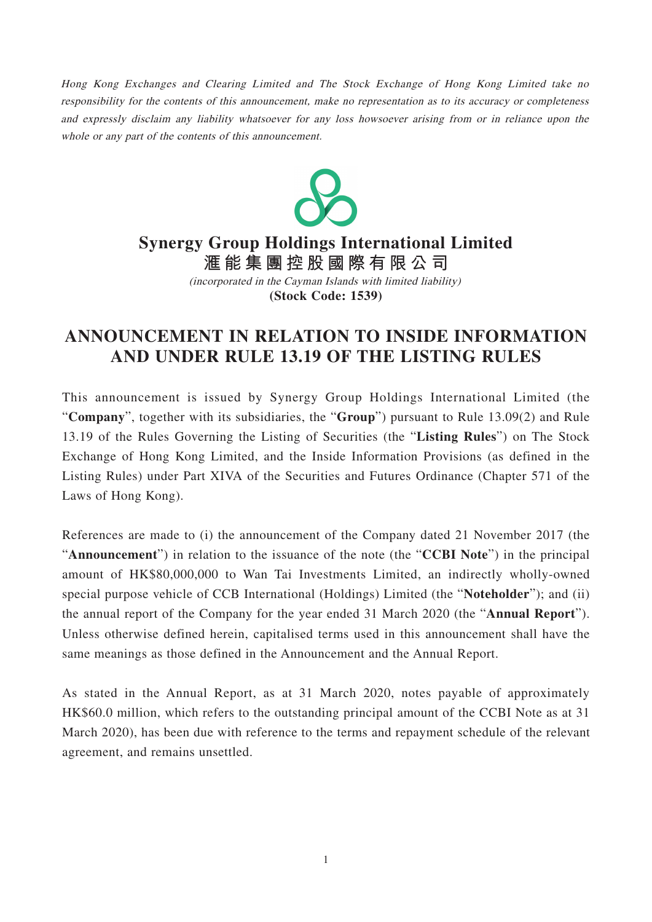Hong Kong Exchanges and Clearing Limited and The Stock Exchange of Hong Kong Limited take no responsibility for the contents of this announcement, make no representation as to its accuracy or completeness and expressly disclaim any liability whatsoever for any loss howsoever arising from or in reliance upon the whole or any part of the contents of this announcement.



## **Synergy Group Holdings International Limited**

**滙能集團控股國際有限公 司 (Stock Code: 1539)** (incorporated in the Cayman Islands with limited liability)

## **ANNOUNCEMENT IN RELATION TO INSIDE INFORMATION AND UNDER RULE 13.19 OF THE LISTING RULES**

This announcement is issued by Synergy Group Holdings International Limited (the "**Company**", together with its subsidiaries, the "**Group**") pursuant to Rule 13.09(2) and Rule 13.19 of the Rules Governing the Listing of Securities (the "**Listing Rules**") on The Stock Exchange of Hong Kong Limited, and the Inside Information Provisions (as defined in the Listing Rules) under Part XIVA of the Securities and Futures Ordinance (Chapter 571 of the Laws of Hong Kong).

References are made to (i) the announcement of the Company dated 21 November 2017 (the "**Announcement**") in relation to the issuance of the note (the "**CCBI Note**") in the principal amount of HK\$80,000,000 to Wan Tai Investments Limited, an indirectly wholly-owned special purpose vehicle of CCB International (Holdings) Limited (the "**Noteholder**"); and (ii) the annual report of the Company for the year ended 31 March 2020 (the "**Annual Report**"). Unless otherwise defined herein, capitalised terms used in this announcement shall have the same meanings as those defined in the Announcement and the Annual Report.

As stated in the Annual Report, as at 31 March 2020, notes payable of approximately HK\$60.0 million, which refers to the outstanding principal amount of the CCBI Note as at 31 March 2020), has been due with reference to the terms and repayment schedule of the relevant agreement, and remains unsettled.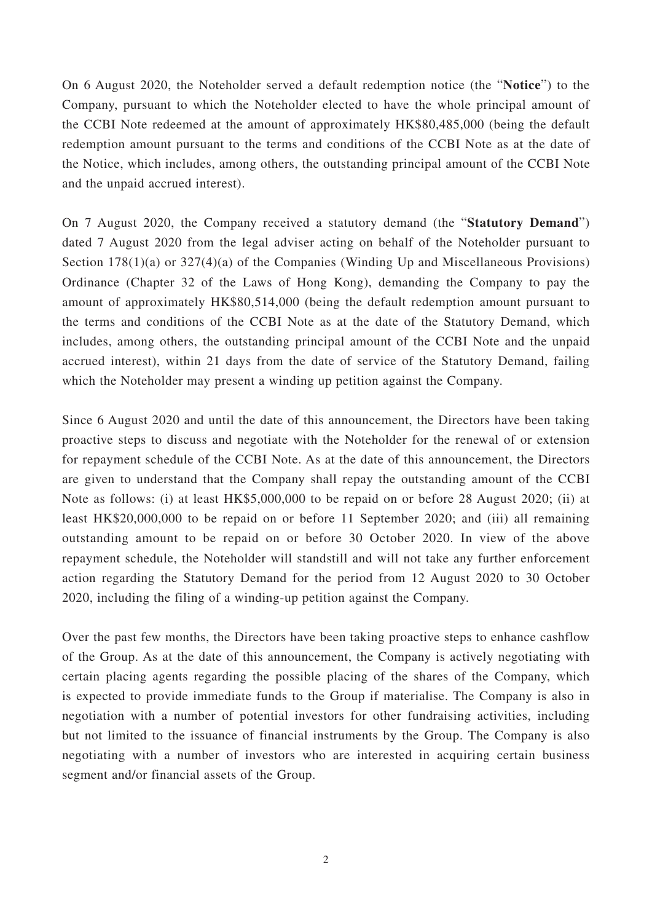On 6 August 2020, the Noteholder served a default redemption notice (the "**Notice**") to the Company, pursuant to which the Noteholder elected to have the whole principal amount of the CCBI Note redeemed at the amount of approximately HK\$80,485,000 (being the default redemption amount pursuant to the terms and conditions of the CCBI Note as at the date of the Notice, which includes, among others, the outstanding principal amount of the CCBI Note and the unpaid accrued interest).

On 7 August 2020, the Company received a statutory demand (the "**Statutory Demand**") dated 7 August 2020 from the legal adviser acting on behalf of the Noteholder pursuant to Section 178(1)(a) or 327(4)(a) of the Companies (Winding Up and Miscellaneous Provisions) Ordinance (Chapter 32 of the Laws of Hong Kong), demanding the Company to pay the amount of approximately HK\$80,514,000 (being the default redemption amount pursuant to the terms and conditions of the CCBI Note as at the date of the Statutory Demand, which includes, among others, the outstanding principal amount of the CCBI Note and the unpaid accrued interest), within 21 days from the date of service of the Statutory Demand, failing which the Noteholder may present a winding up petition against the Company.

Since 6 August 2020 and until the date of this announcement, the Directors have been taking proactive steps to discuss and negotiate with the Noteholder for the renewal of or extension for repayment schedule of the CCBI Note. As at the date of this announcement, the Directors are given to understand that the Company shall repay the outstanding amount of the CCBI Note as follows: (i) at least HK\$5,000,000 to be repaid on or before 28 August 2020; (ii) at least HK\$20,000,000 to be repaid on or before 11 September 2020; and (iii) all remaining outstanding amount to be repaid on or before 30 October 2020. In view of the above repayment schedule, the Noteholder will standstill and will not take any further enforcement action regarding the Statutory Demand for the period from 12 August 2020 to 30 October 2020, including the filing of a winding-up petition against the Company.

Over the past few months, the Directors have been taking proactive steps to enhance cashflow of the Group. As at the date of this announcement, the Company is actively negotiating with certain placing agents regarding the possible placing of the shares of the Company, which is expected to provide immediate funds to the Group if materialise. The Company is also in negotiation with a number of potential investors for other fundraising activities, including but not limited to the issuance of financial instruments by the Group. The Company is also negotiating with a number of investors who are interested in acquiring certain business segment and/or financial assets of the Group.